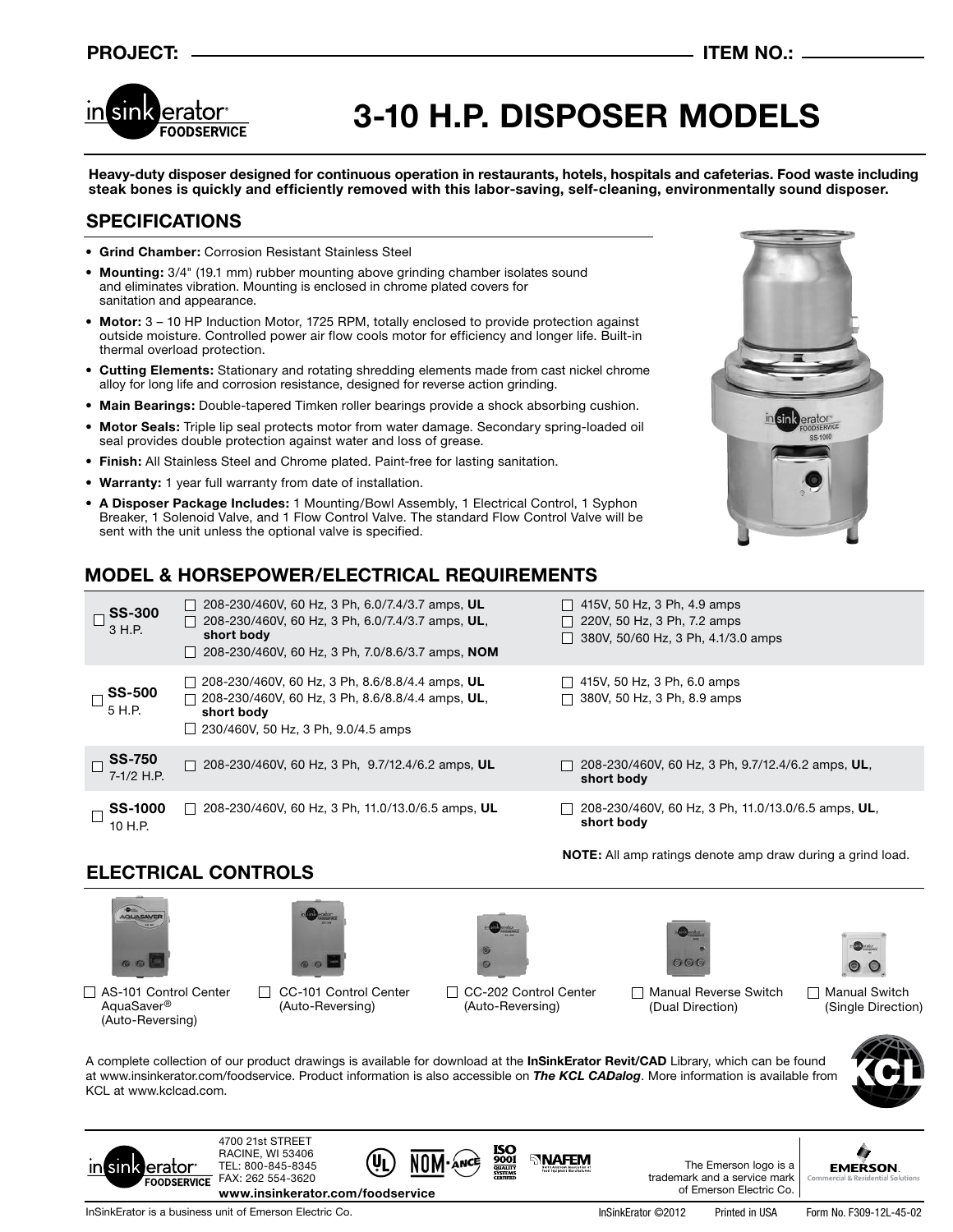## **PROJECT: ITEM NO.:**



# **3-10 H.P. DISPOSER MODELS**

**Heavy-duty disposer designed for continuous operation in restaurants, hotels, hospitals and cafeterias. Food waste including steak bones is quickly and efficiently removed with this labor-saving, self-cleaning, environmentally sound disposer.**

## **SPECIFICATIONS**

- **• Grind Chamber:** Corrosion Resistant Stainless Steel
- **• Mounting:** 3/4" (19.1 mm) rubber mounting above grinding chamber isolates sound and eliminates vibration. Mounting is enclosed in chrome plated covers for sanitation and appearance.
- **• Motor:** 3 10 HP Induction Motor, 1725 RPM, totally enclosed to provide protection against outside moisture. Controlled power air flow cools motor for efficiency and longer life. Built-in thermal overload protection.
- **• Cutting Elements:** Stationary and rotating shredding elements made from cast nickel chrome alloy for long life and corrosion resistance, designed for reverse action grinding.
- **• Main Bearings:** Double-tapered Timken roller bearings provide a shock absorbing cushion.
- **• Motor Seals:** Triple lip seal protects motor from water damage. Secondary spring-loaded oil seal provides double protection against water and loss of grease.
- **• Finish:** All Stainless Steel and Chrome plated. Paint-free for lasting sanitation.
- **Warranty:** 1 year full warranty from date of installation.
- **• A Disposer Package Includes:** 1 Mounting/Bowl Assembly, 1 Electrical Control, 1 Syphon Breaker, 1 Solenoid Valve, and 1 Flow Control Valve. The standard Flow Control Valve will be sent with the unit unless the optional valve is specified.



# **MODEL & HORSEPOWER/ELECTRICAL REQUIREMENTS**

| <b>SS-300</b><br>3 H.P.       | $\Box$ 208-230/460V, 60 Hz, 3 Ph, 6.0/7.4/3.7 amps, UL<br>208-230/460V, 60 Hz, 3 Ph, 6.0/7.4/3.7 amps, UL,<br>short body<br>208-230/460V, 60 Hz, 3 Ph, 7.0/8.6/3.7 amps, NOM | $\Box$ 415V, 50 Hz, 3 Ph, 4.9 amps<br>$\Box$ 220V, 50 Hz, 3 Ph, 7.2 amps<br>$\Box$ 380V, 50/60 Hz, 3 Ph, 4.1/3.0 amps |
|-------------------------------|------------------------------------------------------------------------------------------------------------------------------------------------------------------------------|-----------------------------------------------------------------------------------------------------------------------|
| <b>SS-500</b><br>5 H.P.       | $\Box$ 208-230/460V, 60 Hz, 3 Ph, 8.6/8.8/4.4 amps, UL<br>208-230/460V, 60 Hz, 3 Ph, 8.6/8.8/4.4 amps, UL,<br>short body<br>$\Box$ 230/460V, 50 Hz, 3 Ph, 9.0/4.5 amps       | $\Box$ 415V, 50 Hz, 3 Ph, 6.0 amps<br>$\Box$ 380V, 50 Hz, 3 Ph, 8.9 amps                                              |
| <b>SS-750</b><br>$7-1/2$ H.P. | $\Box$ 208-230/460V, 60 Hz, 3 Ph, 9.7/12.4/6.2 amps, UL                                                                                                                      | $\Box$ 208-230/460V, 60 Hz, 3 Ph, 9.7/12.4/6.2 amps, UL,<br>short body                                                |
| <b>SS-1000</b><br>10 H.P.     | 208-230/460V, 60 Hz, 3 Ph, 11.0/13.0/6.5 amps, UL<br>$\perp$                                                                                                                 | 208-230/460V, 60 Hz, 3 Ph, 11.0/13.0/6.5 amps, UL,<br>short body                                                      |

**NOTE:** All amp ratings denote amp draw during a grind load.

# **ELECTRICAL CONTROLS**







□ AS-101 Control Center AquaSaver® (Auto-Reversing)

CC-101 Control Center (Auto-Reversing)









lerator<sup>.</sup>

 $sin$ 

CC-202 Control Center (Auto-Reversing)

**SINAFEM** 

Manual Reverse Switch (Dual Direction)

Manual Switch (Single Direction)



A complete collection of our product drawings is available for download at the **InSinkErator Revit/CAD** Library, which can be found at www.insinkerator.com/foodservice. Product information is also accessible on *The KCL CADalog*. More information is available from KCL at www.kclcad.com.



**EMERSON** 

FAX: 262 554-3620 **FOODSERVICE www.insinkerator.com/foodservice**

InSinkErator is a business unit of Emerson Electric Co. In SinkErator ©2012 Printed in USA Form No. F309-12L-45-02

4700 21st STREET RACINE, WI 53406 TEL: 800-845-8345

The Emerson logo is a trademark and a service mark of Emerson Electric Co.